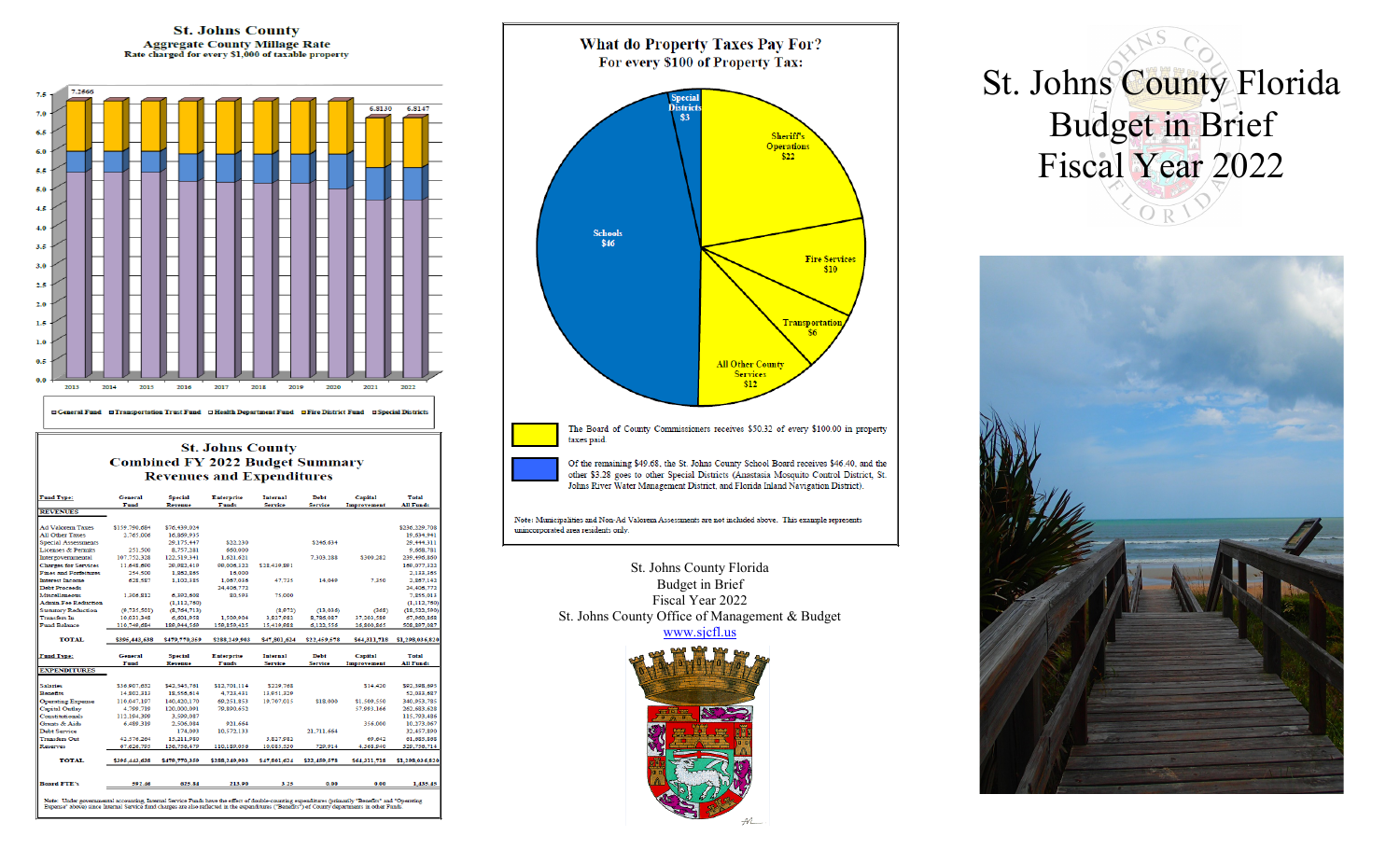

10,085,530

\$47,801,624 \$22,459,578

 $0.00$ 

3.25

329,756,71

1,435.45

4,368,940

 $0.00$ 

\$64,311,718 \$1,298,036,82

110,189,056

213.90

Note: Under governmental accounting, Internal Service Funds have the effect of double-counting expenditures (primarily "Benefits" and "Operating<br>Expense" above) since Internal Service fund charges are also reflected in the

eserves

**TOTAL** 

soard FTE's

67,626,795

592.46

136,756,479

\$395,443,638 \$479,770,359 \$288,249,903

625.84